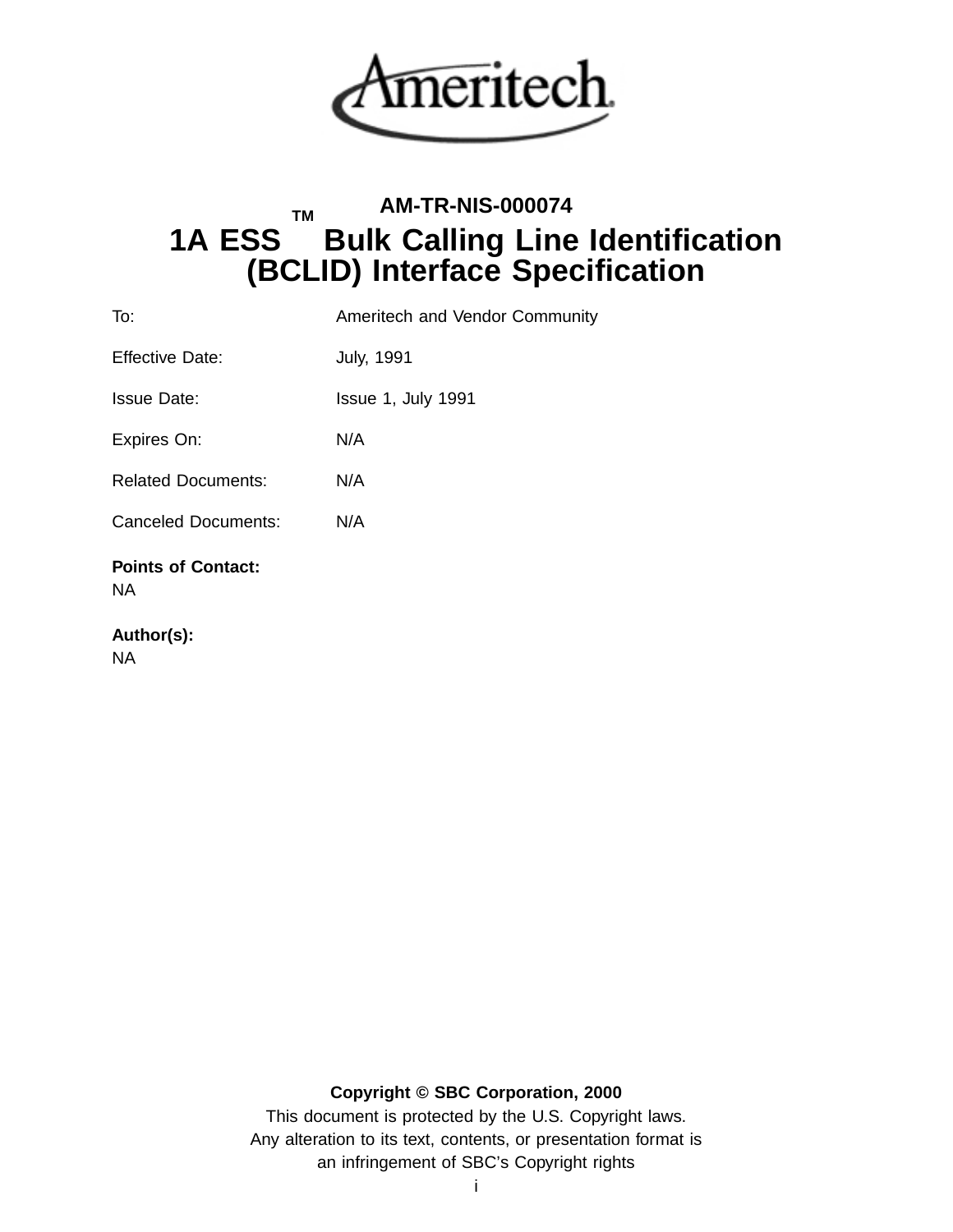

## **AM-TR-NIS-000074 1A ESS Bulk Calling Line Identification TM (BCLID) Interface Specification**

| NA.                        |                                |
|----------------------------|--------------------------------|
| <b>Points of Contact:</b>  |                                |
| <b>Canceled Documents:</b> | N/A                            |
| <b>Related Documents:</b>  | N/A                            |
| Expires On:                | N/A                            |
| <b>Issue Date:</b>         | Issue 1, July 1991             |
| <b>Effective Date:</b>     | <b>July, 1991</b>              |
| To:                        | Ameritech and Vendor Community |

NA

**Copyright © SBC Corporation, 2000**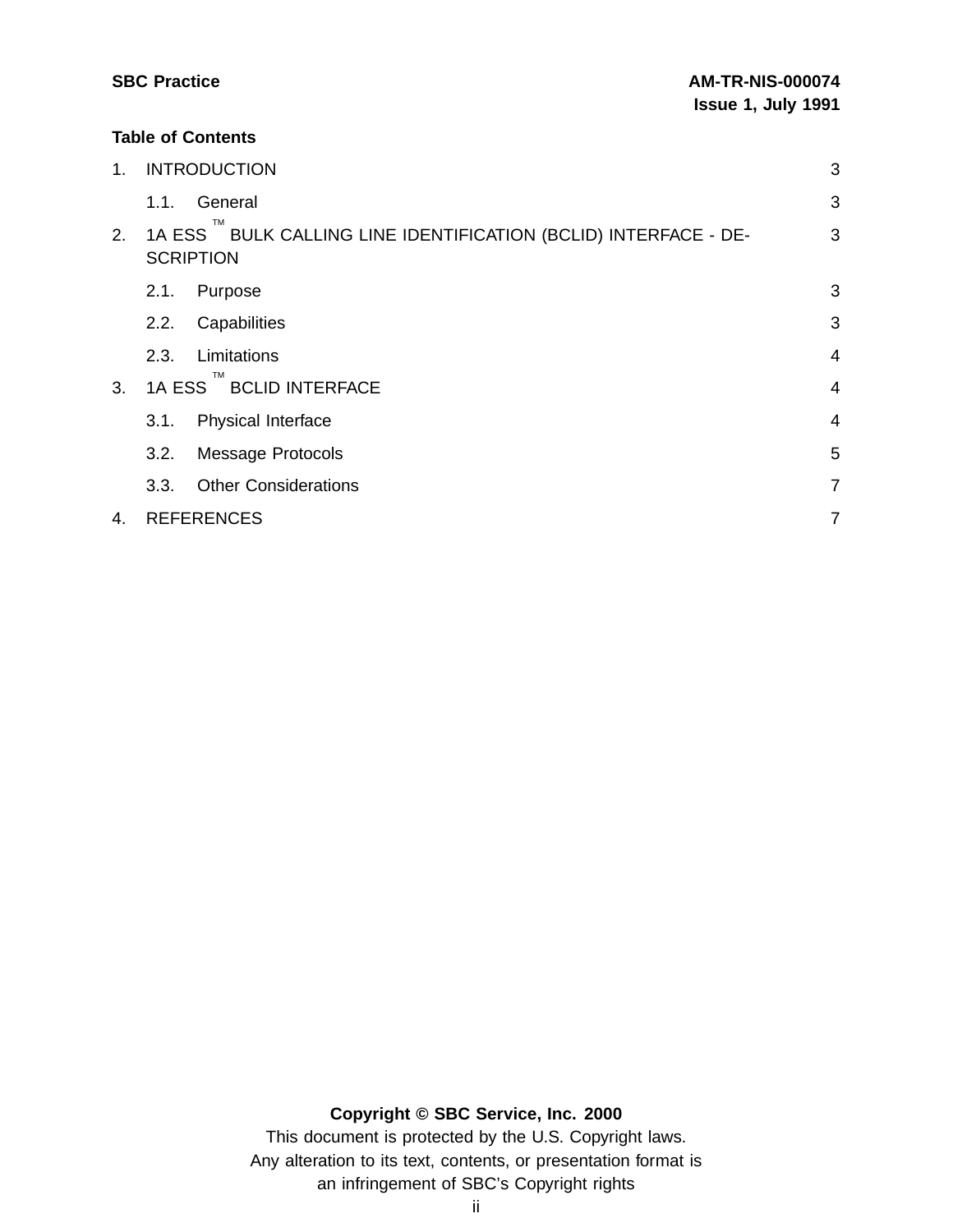## **Table of Contents**

| 1 <sub>1</sub> |      | <b>INTRODUCTION</b>                                                                              | 3              |
|----------------|------|--------------------------------------------------------------------------------------------------|----------------|
|                | 1.1. | General                                                                                          | 3              |
| 2.             |      | <b>TM</b><br>1A ESS BULK CALLING LINE IDENTIFICATION (BCLID) INTERFACE - DE-<br><b>SCRIPTION</b> | 3              |
|                | 2.1. | Purpose                                                                                          | 3              |
|                | 2.2. | Capabilities                                                                                     | 3              |
|                | 2.3. | Limitations                                                                                      | $\overline{4}$ |
| 3.             |      | тм<br>1A ESS BCLID INTERFACE                                                                     | $\overline{4}$ |
|                | 3.1. | Physical Interface                                                                               | $\overline{4}$ |
|                | 3.2. | <b>Message Protocols</b>                                                                         | 5              |
|                | 3.3. | <b>Other Considerations</b>                                                                      | $\overline{7}$ |
| 4.             |      | <b>REFERENCES</b>                                                                                | 7              |

## **Copyright © SBC Service, Inc. 2000**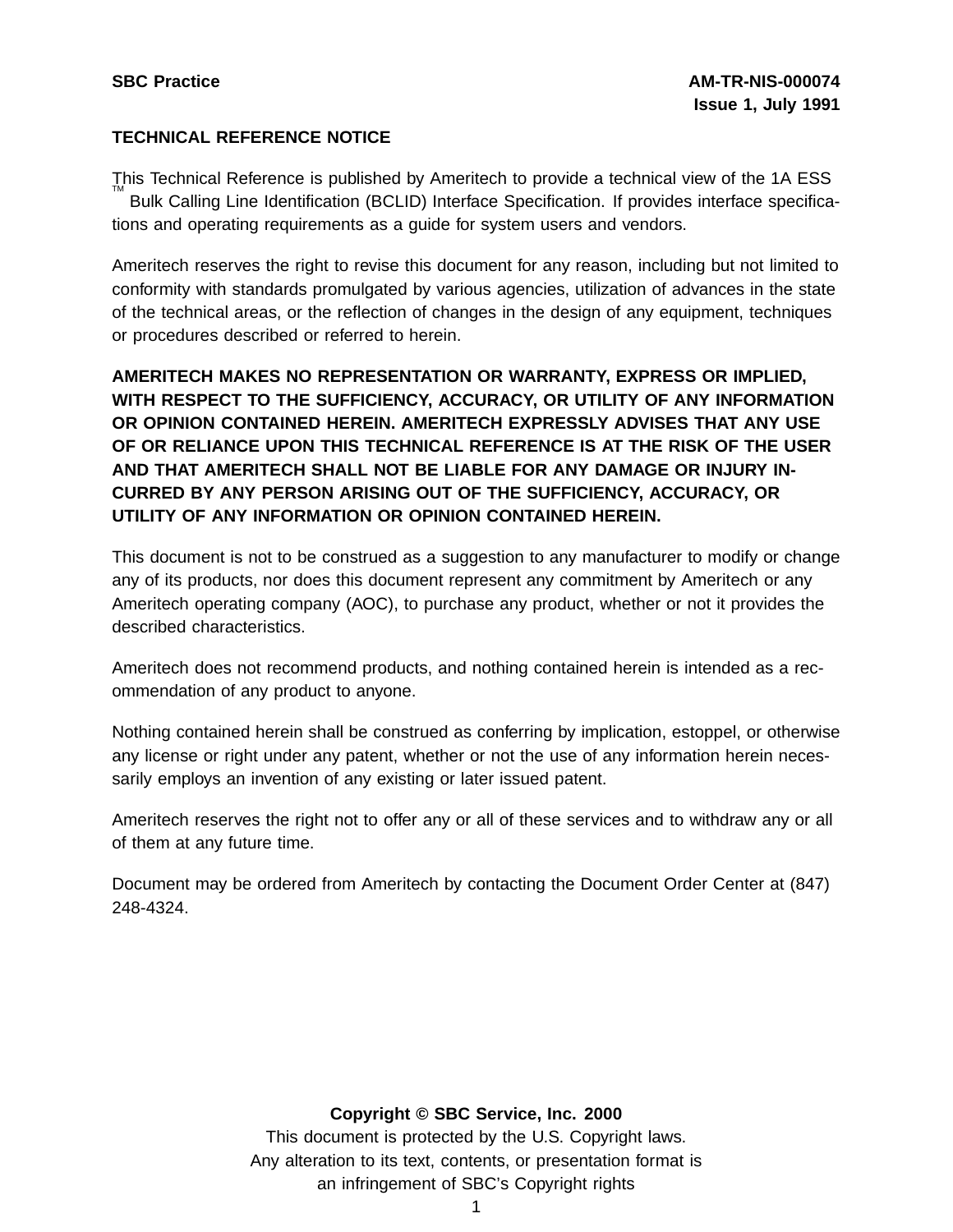## **TECHNICAL REFERENCE NOTICE**

This Technical Reference is published by Ameritech to provide a technical view of the 1A ESS Bulk Calling Line Identification (BCLID) Interface Specification. If provides interface specifications and operating requirements as a guide for system users and vendors.

Ameritech reserves the right to revise this document for any reason, including but not limited to conformity with standards promulgated by various agencies, utilization of advances in the state of the technical areas, or the reflection of changes in the design of any equipment, techniques or procedures described or referred to herein.

**AMERITECH MAKES NO REPRESENTATION OR WARRANTY, EXPRESS OR IMPLIED, WITH RESPECT TO THE SUFFICIENCY, ACCURACY, OR UTILITY OF ANY INFORMATION OR OPINION CONTAINED HEREIN. AMERITECH EXPRESSLY ADVISES THAT ANY USE OF OR RELIANCE UPON THIS TECHNICAL REFERENCE IS AT THE RISK OF THE USER AND THAT AMERITECH SHALL NOT BE LIABLE FOR ANY DAMAGE OR INJURY IN-CURRED BY ANY PERSON ARISING OUT OF THE SUFFICIENCY, ACCURACY, OR UTILITY OF ANY INFORMATION OR OPINION CONTAINED HEREIN.**

This document is not to be construed as a suggestion to any manufacturer to modify or change any of its products, nor does this document represent any commitment by Ameritech or any Ameritech operating company (AOC), to purchase any product, whether or not it provides the described characteristics.

Ameritech does not recommend products, and nothing contained herein is intended as a recommendation of any product to anyone.

Nothing contained herein shall be construed as conferring by implication, estoppel, or otherwise any license or right under any patent, whether or not the use of any information herein necessarily employs an invention of any existing or later issued patent.

Ameritech reserves the right not to offer any or all of these services and to withdraw any or all of them at any future time.

Document may be ordered from Ameritech by contacting the Document Order Center at (847) 248-4324.

### **Copyright © SBC Service, Inc. 2000**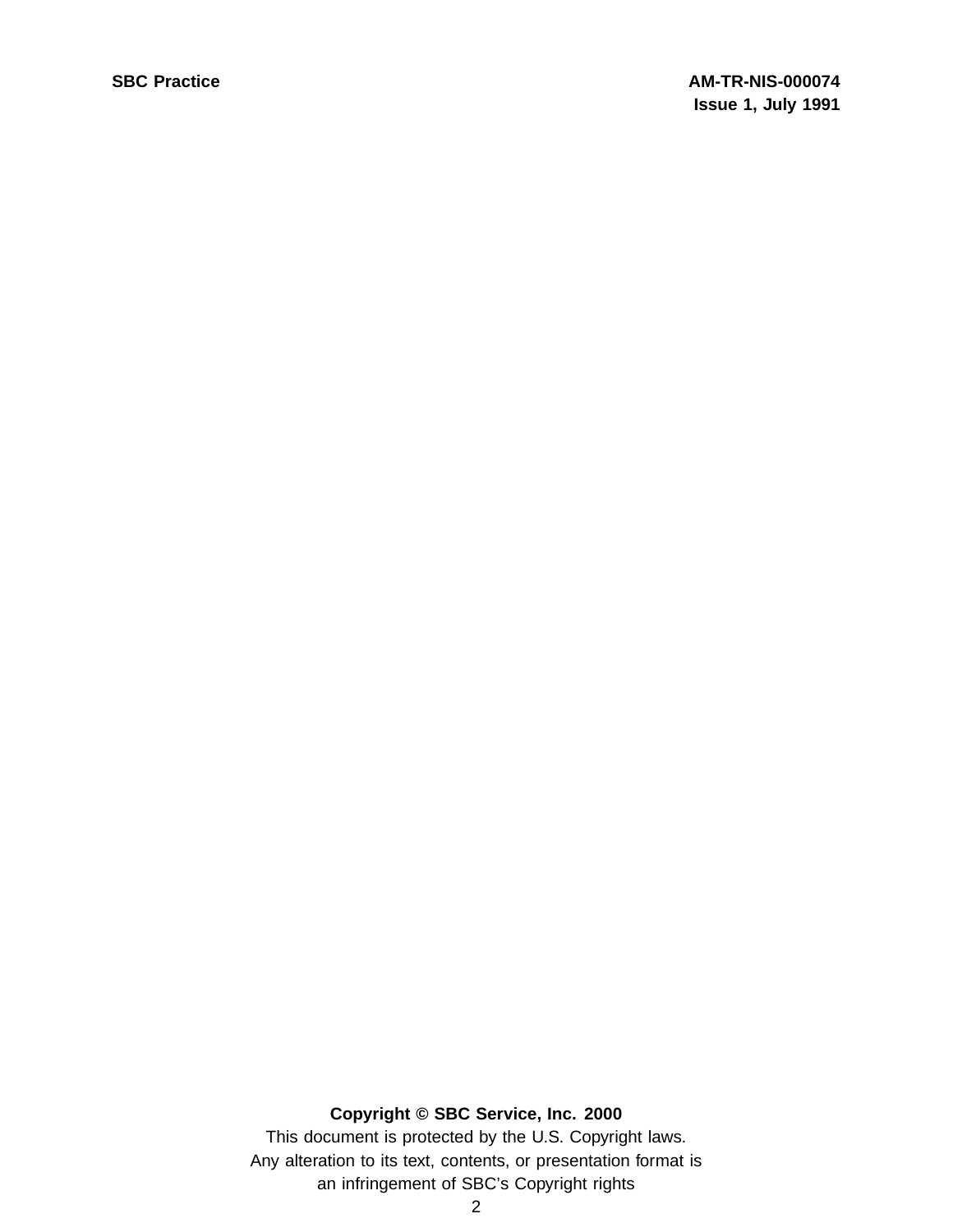## **Copyright © SBC Service, Inc. 2000**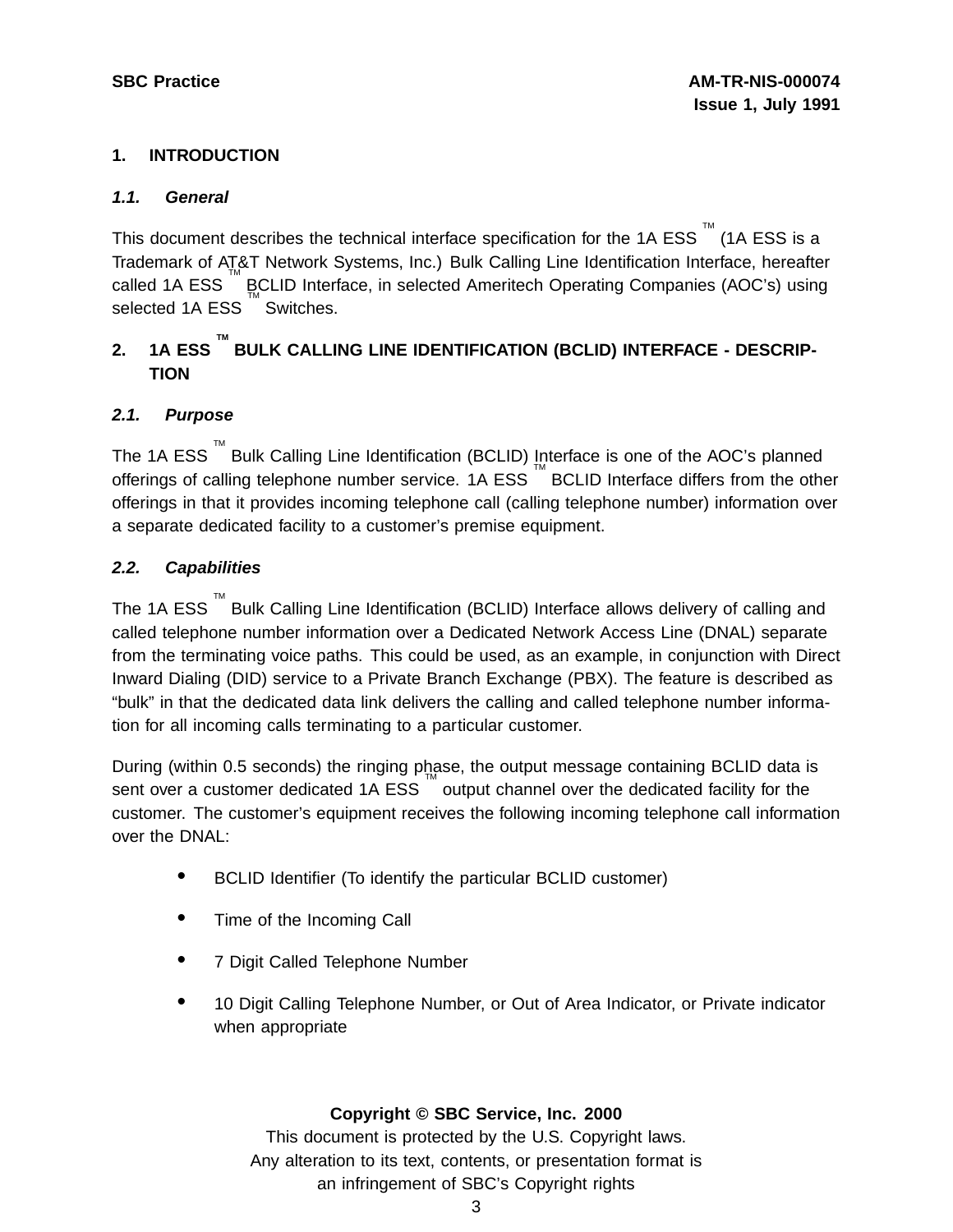## **1. INTRODUCTION**

## **1.1. General**

This document describes the technical interface specification for the 1A ESS  $^{\text{m}}$  (1A ESS is a Trademark of AT&T Network Systems, Inc.) Bulk Calling Line Identification Interface, hereafter called 1A ESS TM BCLID Interface, in selected Ameritech Operating Companies (AOC's) using selected 1A ESS Switches.

## **2. 1A ESS TM BULK CALLING LINE IDENTIFICATION (BCLID) INTERFACE - DESCRIP-TION**

## **2.1. Purpose**

The 1A ESS  $^{\mathbb{M}}$  Bulk Calling Line Identification (BCLID) Interface is one of the AOC's planned offerings of calling telephone number service. 1A ESS BCLID Interface differs from the other offerings in that it provides incoming telephone call (calling telephone number) information over a separate dedicated facility to a customer's premise equipment.

## **2.2. Capabilities**

The 1A ESS  $^{\mathbb{M}}$  Bulk Calling Line Identification (BCLID) Interface allows delivery of calling and called telephone number information over a Dedicated Network Access Line (DNAL) separate from the terminating voice paths. This could be used, as an example, in conjunction with Direct Inward Dialing (DID) service to a Private Branch Exchange (PBX). The feature is described as "bulk" in that the dedicated data link delivers the calling and called telephone number information for all incoming calls terminating to a particular customer.

During (within 0.5 seconds) the ringing phৣase, the output message containing BCLID data is sent over a customer dedicated 1A ESS output channel over the dedicated facility for the customer. The customer's equipment receives the following incoming telephone call information over the DNAL:

- BCLID Identifier (To identify the particular BCLID customer)
- Time of the Incoming Call
- <sup>7</sup> Digit Called Telephone Number
- <sup>10</sup> Digit Calling Telephone Number, or Out of Area Indicator, or Private indicator when appropriate

## **Copyright © SBC Service, Inc. 2000**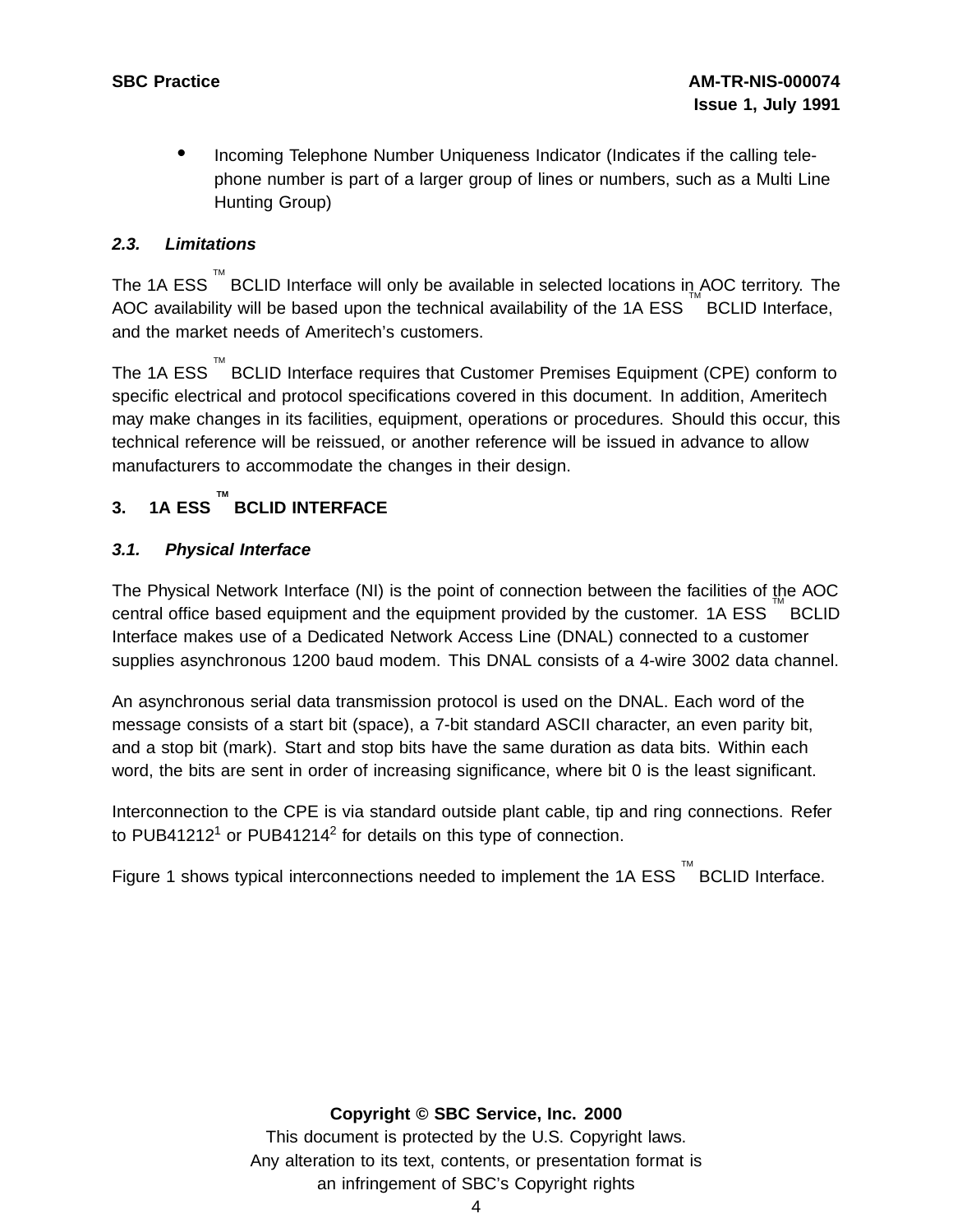• Incoming Telephone Number Uniqueness Indicator (Indicates if the calling telephone number is part of a larger group of lines or numbers, such as a Multi Line Hunting Group)

## **2.3. Limitations**

The 1A ESS  $^{\mathbb{M}}$  BCLID Interface will only be available in selected locations in AOC territory. The AOC availability will be based upon the technical availability of the 1A ESS ™ BCLID Interface, and the market needs of Ameritech's customers.

The 1A ESS  $^{\mathbb{M}}$  BCLID Interface requires that Customer Premises Equipment (CPE) conform to specific electrical and protocol specifications covered in this document. In addition, Ameritech may make changes in its facilities, equipment, operations or procedures. Should this occur, this technical reference will be reissued, or another reference will be issued in advance to allow manufacturers to accommodate the changes in their design.

# **3. 1A ESS TM BCLID INTERFACE**

## **3.1. Physical Interface**

The Physical Network Interface (NI) is the point of connection between the facilities of the AOC central office based equipment and the equipment provided by the customer. 1A ESS  $^{\mathbb{M}}$  BCLID Interface makes use of a Dedicated Network Access Line (DNAL) connected to a customer supplies asynchronous 1200 baud modem. This DNAL consists of a 4-wire 3002 data channel.

An asynchronous serial data transmission protocol is used on the DNAL. Each word of the message consists of a start bit (space), a 7-bit standard ASCII character, an even parity bit, and a stop bit (mark). Start and stop bits have the same duration as data bits. Within each word, the bits are sent in order of increasing significance, where bit 0 is the least significant.

Interconnection to the CPE is via standard outside plant cable, tip and ring connections. Refer to PUB41212<sup>1</sup> or PUB41214<sup>2</sup> for details on this type of connection.

Figure 1 shows typical interconnections needed to implement the 1A ESS  $^{\mathbb{M}}$  BCLID Interface.

### **Copyright © SBC Service, Inc. 2000**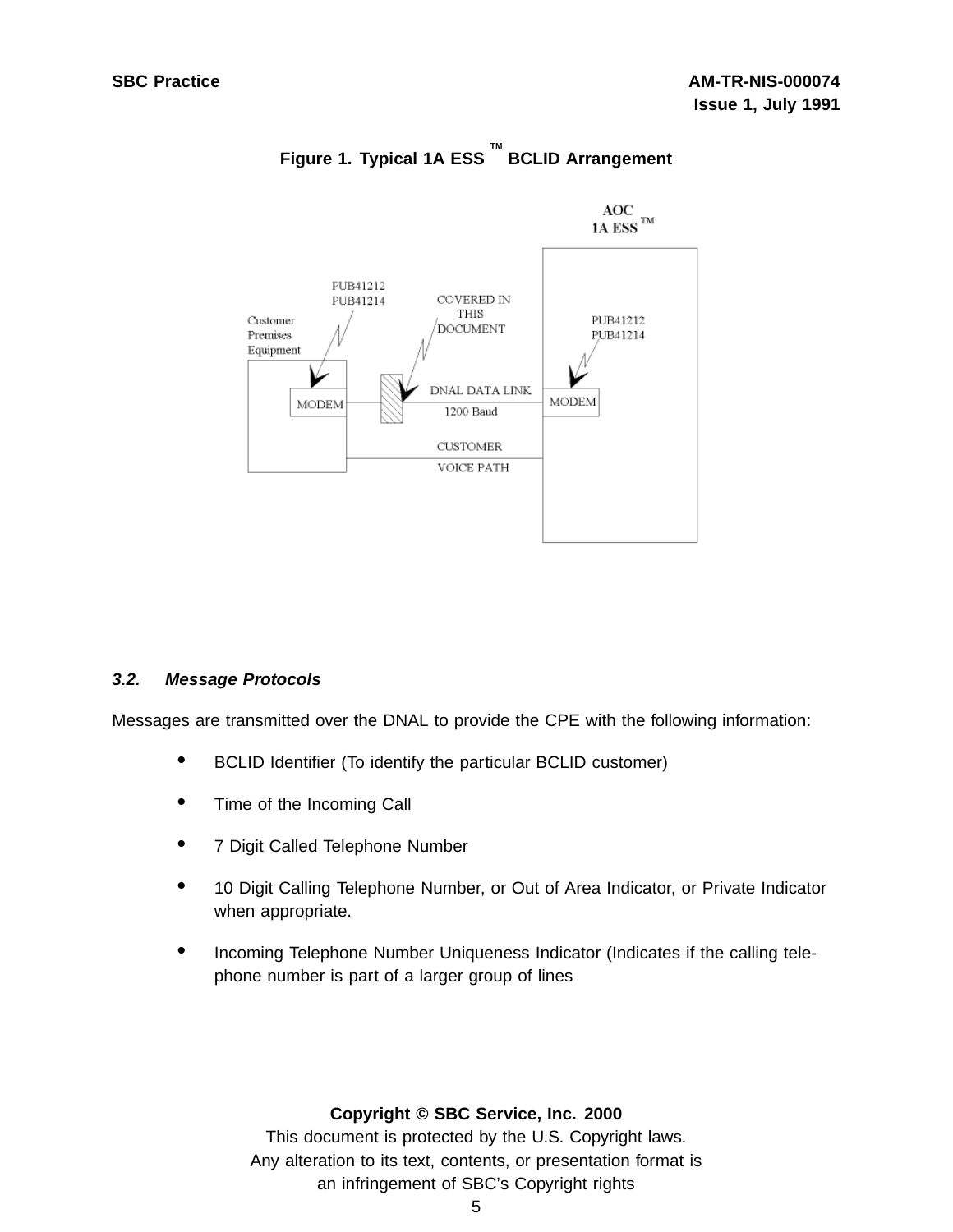

# **Figure 1. Typical 1A ESS TM BCLID Arrangement**

## **3.2. Message Protocols**

Messages are transmitted over the DNAL to provide the CPE with the following information:

- BCLID Identifier (To identify the particular BCLID customer)
- Time of the Incoming Call
- <sup>7</sup> Digit Called Telephone Number
- <sup>10</sup> Digit Calling Telephone Number, or Out of Area Indicator, or Private Indicator when appropriate.
- Incoming Telephone Number Uniqueness Indicator (Indicates if the calling telephone number is part of a larger group of lines

### **Copyright © SBC Service, Inc. 2000**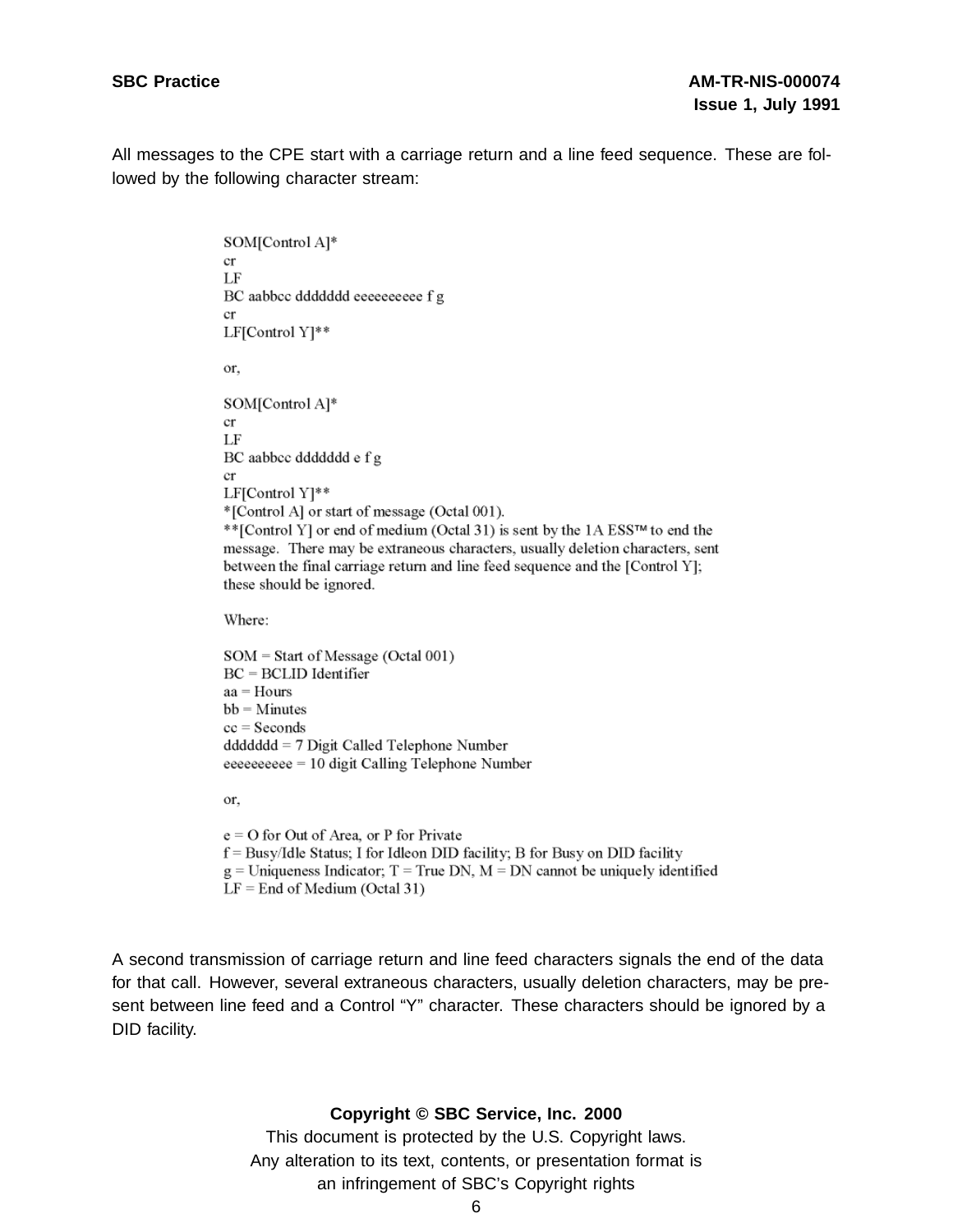All messages to the CPE start with a carriage return and a line feed sequence. These are followed by the following character stream:

> SOM[Control A]\* cr LF BC aabbcc ddddddd eeeeeeeeee f g  $cr$ LF[Control Y]\*\* or, SOM[Control A]\*  $cr$ LF BC aabbee ddddddd e f g cr LF[Control Y]\*\* \* [Control A] or start of message (Octal 001). \*\*[Control Y] or end of medium (Octal 31) is sent by the 1A ESS™ to end the message. There may be extraneous characters, usually deletion characters, sent between the final carriage return and line feed sequence and the [Control Y]; these should be ignored.

Where:

 $SOM = Start of Message (Octal 001)$  $BC = BCLID$  Identifier  $aa =$  Hours  $bb =$  Minutes  $cc =$ Seconds  $d d d d d d = 7$  Digit Called Telephone Number eeeeeeeeee = 10 digit Calling Telephone Number

or,

 $e = O$  for Out of Area, or P for Private  $f = Busy/Id$ le Status; I for Idleon DID facility; B for Busy on DID facility  $g =$  Uniqueness Indicator; T = True DN, M = DN cannot be uniquely identified  $LF = End of Medium (Octal 31)$ 

A second transmission of carriage return and line feed characters signals the end of the data for that call. However, several extraneous characters, usually deletion characters, may be present between line feed and a Control "Y" character. These characters should be ignored by a DID facility.

## **Copyright © SBC Service, Inc. 2000**